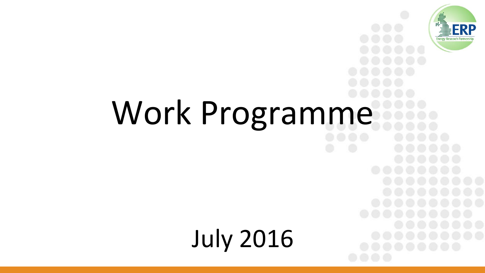

# Work Programme

July 2016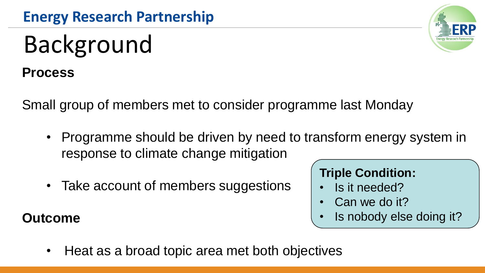# Background

**Process**

Small group of members met to consider programme last Monday

- Programme should be driven by need to transform energy system in response to climate change mitigation
- Take account of members suggestions

#### **Outcome**

#### **Triple Condition:**

- Is it needed?
- Can we do it?
- Is nobody else doing it?
- Heat as a broad topic area met both objectives

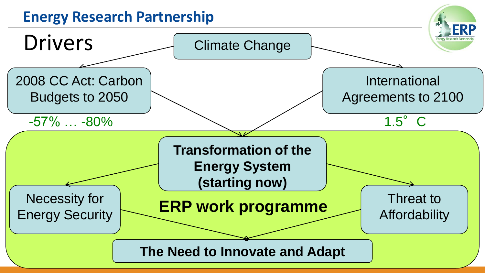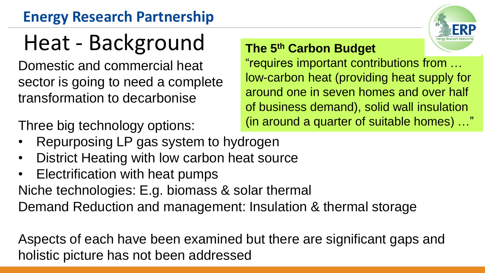### **Energy Research Partnership**

# Heat - Background

Domestic and commercial heat sector is going to need a complete transformation to decarbonise

Three big technology options:

**The 5th Carbon Budget**

"requires important contributions from … low-carbon heat (providing heat supply for around one in seven homes and over half of business demand), solid wall insulation (in around a quarter of suitable homes) …"

- Repurposing LP gas system to hydrogen
- District Heating with low carbon heat source
- Electrification with heat pumps

Niche technologies: E.g. biomass & solar thermal

Demand Reduction and management: Insulation & thermal storage

Aspects of each have been examined but there are significant gaps and holistic picture has not been addressed

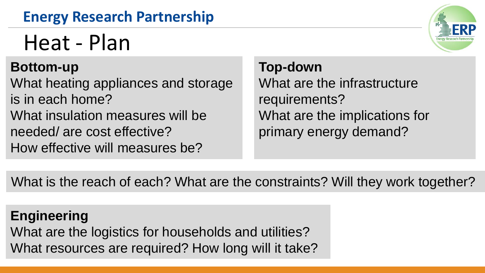### **Energy Research Partnership**

## Heat - Plan

#### **Bottom-up**

What heating appliances and storage is in each home? What insulation measures will be needed/ are cost effective? How effective will measures be?

#### **Top-down**

What are the infrastructure requirements? What are the implications for primary energy demand?

What is the reach of each? What are the constraints? Will they work together?

**Engineering** What are the logistics for households and utilities? What resources are required? How long will it take?

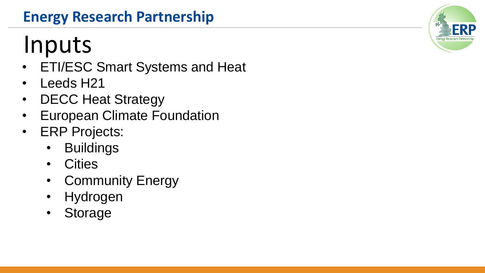### **Energy Research Partnership**

# Inputs

- ETI/ESC Smart Systems and Heat
- Leeds H21
- DECC Heat Strategy
- European Climate Foundation
- ERP Projects:
	- Buildings
	- Cities
	- Community Energy
	- Hydrogen
	- Storage